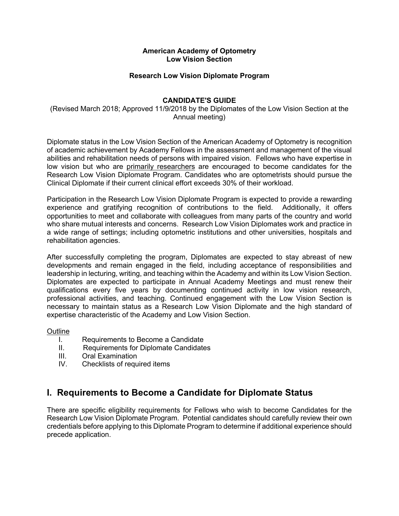### **American Academy of Optometry Low Vision Section**

### **Research Low Vision Diplomate Program**

### **CANDIDATE'S GUIDE**

(Revised March 2018; Approved 11/9/2018 by the Diplomates of the Low Vision Section at the Annual meeting)

Diplomate status in the Low Vision Section of the American Academy of Optometry is recognition of academic achievement by Academy Fellows in the assessment and management of the visual abilities and rehabilitation needs of persons with impaired vision. Fellows who have expertise in low vision but who are primarily researchers are encouraged to become candidates for the Research Low Vision Diplomate Program. Candidates who are optometrists should pursue the Clinical Diplomate if their current clinical effort exceeds 30% of their workload.

Participation in the Research Low Vision Diplomate Program is expected to provide a rewarding experience and gratifying recognition of contributions to the field. Additionally, it offers opportunities to meet and collaborate with colleagues from many parts of the country and world who share mutual interests and concerns. Research Low Vision Diplomates work and practice in a wide range of settings; including optometric institutions and other universities, hospitals and rehabilitation agencies.

After successfully completing the program, Diplomates are expected to stay abreast of new developments and remain engaged in the field, including acceptance of responsibilities and leadership in lecturing, writing, and teaching within the Academy and within its Low Vision Section. Diplomates are expected to participate in Annual Academy Meetings and must renew their qualifications every five years by documenting continued activity in low vision research, professional activities, and teaching. Continued engagement with the Low Vision Section is necessary to maintain status as a Research Low Vision Diplomate and the high standard of expertise characteristic of the Academy and Low Vision Section.

### **Outline**

- I. Requirements to Become a Candidate
- II. Requirements for Diplomate Candidates
- III. Oral Examination
- IV. Checklists of required items

## **I. Requirements to Become a Candidate for Diplomate Status**

There are specific eligibility requirements for Fellows who wish to become Candidates for the Research Low Vision Diplomate Program. Potential candidates should carefully review their own credentials before applying to this Diplomate Program to determine if additional experience should precede application.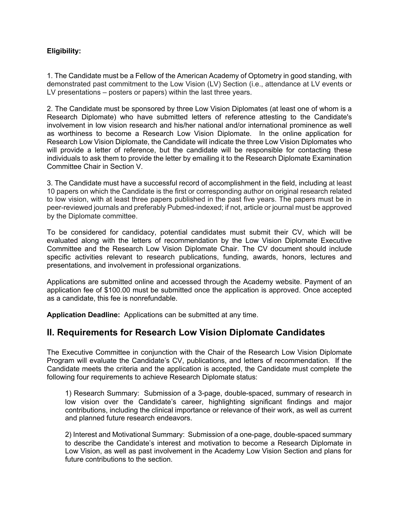### **Eligibility:**

1. The Candidate must be a Fellow of the American Academy of Optometry in good standing, with demonstrated past commitment to the Low Vision (LV) Section (i.e., attendance at LV events or LV presentations – posters or papers) within the last three years.

2. The Candidate must be sponsored by three Low Vision Diplomates (at least one of whom is a Research Diplomate) who have submitted letters of reference attesting to the Candidate's involvement in low vision research and his/her national and/or international prominence as well as worthiness to become a Research Low Vision Diplomate. In the online application for Research Low Vision Diplomate, the Candidate will indicate the three Low Vision Diplomates who will provide a letter of reference, but the candidate will be responsible for contacting these individuals to ask them to provide the letter by emailing it to the Research Diplomate Examination Committee Chair in Section V.

3. The Candidate must have a successful record of accomplishment in the field, including at least 10 papers on which the Candidate is the first or corresponding author on original research related to low vision, with at least three papers published in the past five years. The papers must be in peer-reviewed journals and preferably Pubmed-indexed; if not, article or journal must be approved by the Diplomate committee.

To be considered for candidacy, potential candidates must submit their CV, which will be evaluated along with the letters of recommendation by the Low Vision Diplomate Executive Committee and the Research Low Vision Diplomate Chair. The CV document should include specific activities relevant to research publications, funding, awards, honors, lectures and presentations, and involvement in professional organizations.

Applications are submitted online and accessed through the Academy website. Payment of an application fee of \$100.00 must be submitted once the application is approved. Once accepted as a candidate, this fee is nonrefundable.

**Application Deadline:** Applications can be submitted at any time.

## **II. Requirements for Research Low Vision Diplomate Candidates**

The Executive Committee in conjunction with the Chair of the Research Low Vision Diplomate Program will evaluate the Candidate's CV, publications, and letters of recommendation. If the Candidate meets the criteria and the application is accepted, the Candidate must complete the following four requirements to achieve Research Diplomate status:

1) Research Summary: Submission of a 3-page, double-spaced, summary of research in low vision over the Candidate's career, highlighting significant findings and major contributions, including the clinical importance or relevance of their work, as well as current and planned future research endeavors.

2) Interest and Motivational Summary: Submission of a one-page, double-spaced summary to describe the Candidate's interest and motivation to become a Research Diplomate in Low Vision, as well as past involvement in the Academy Low Vision Section and plans for future contributions to the section.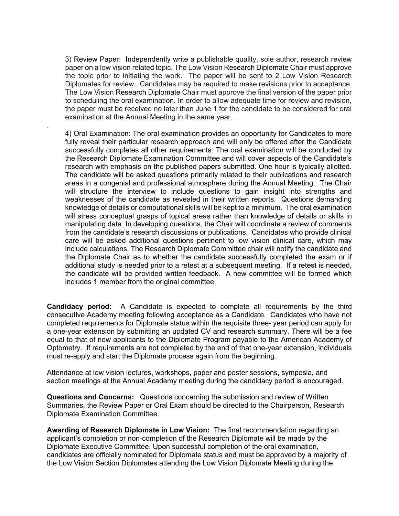3) Review Paper: Independently write a publishable quality, sole author, research review paper on a low vision related topic. The Low Vision Research Diplomate Chair must approve the topic prior to initiating the work. The paper will be sent to 2 Low Vision Research Diplomates for review. Candidates may be required to make revisions prior to acceptance. The Low Vision Research Diplomate Chair must approve the final version of the paper prior to scheduling the oral examination. In order to allow adequate time for review and revision, the paper must be received no later than June 1 for the candidate to be considered for oral examination at the Annual Meeting in the same year.

.

4) Oral Examination: The oral examination provides an opportunity for Candidates to more fully reveal their particular research approach and will only be offered after the Candidate successfully completes all other requirements. The oral examination will be conducted by the Research Diplomate Examination Committee and will cover aspects of the Candidate's research with emphasis on the published papers submitted. One hour is typically allotted. The candidate will be asked questions primarily related to their publications and research areas in a congenial and professional atmosphere during the Annual Meeting. The Chair will structure the interview to include questions to gain insight into strengths and weaknesses of the candidate as revealed in their written reports. Questions demanding knowledge of details or computational skills will be kept to a minimum. The oral examination will stress conceptual grasps of topical areas rather than knowledge of details or skills in manipulating data. In developing questions, the Chair will coordinate a review of comments from the candidate's research discussions or publications. Candidates who provide clinical care will be asked additional questions pertinent to low vision clinical care, which may include calculations. The Research Diplomate Committee chair will notify the candidate and the Diplomate Chair as to whether the candidate successfully completed the exam or if additional study is needed prior to a retest at a subsequent meeting. If a retest is needed, the candidate will be provided written feedback. A new committee will be formed which includes 1 member from the original committee.

**Candidacy period:** A Candidate is expected to complete all requirements by the third consecutive Academy meeting following acceptance as a Candidate. Candidates who have not completed requirements for Diplomate status within the requisite three- year period can apply for a one-year extension by submitting an updated CV and research summary. There will be a fee equal to that of new applicants to the Diplomate Program payable to the American Academy of Optometry. If requirements are not completed by the end of that one-year extension, individuals must re-apply and start the Diplomate process again from the beginning.

Attendance at low vision lectures, workshops, paper and poster sessions, symposia, and section meetings at the Annual Academy meeting during the candidacy period is encouraged.

**Questions and Concerns:** Questions concerning the submission and review of Written Summaries, the Review Paper or Oral Exam should be directed to the Chairperson, Research Diplomate Examination Committee.

**Awarding of Research Diplomate in Low Vision:** The final recommendation regarding an applicant's completion or non-completion of the Research Diplomate will be made by the Diplomate Executive Committee. Upon successful completion of the oral examination, candidates are officially nominated for Diplomate status and must be approved by a majority of the Low Vision Section Diplomates attending the Low Vision Diplomate Meeting during the